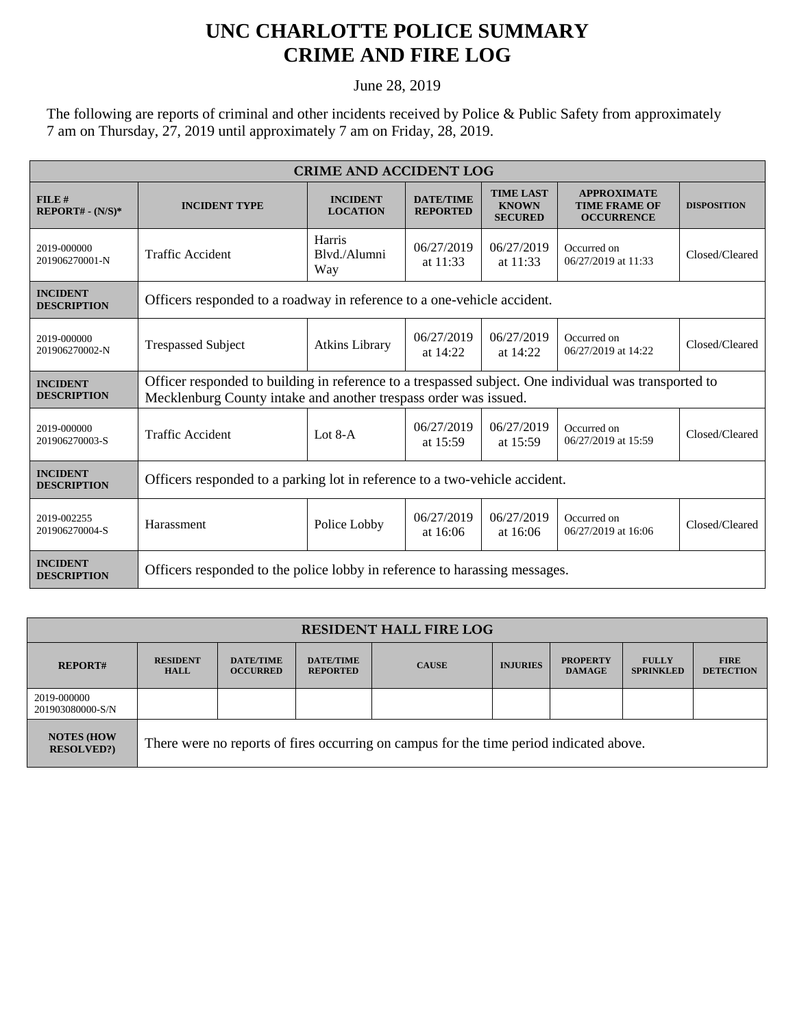## **UNC CHARLOTTE POLICE SUMMARY CRIME AND FIRE LOG**

June 28, 2019

The following are reports of criminal and other incidents received by Police & Public Safety from approximately 7 am on Thursday, 27, 2019 until approximately 7 am on Friday, 28, 2019.

| <b>CRIME AND ACCIDENT LOG</b>         |                                                                                                                                                                           |                                    |                                     |                                                    |                                                                 |                    |  |
|---------------------------------------|---------------------------------------------------------------------------------------------------------------------------------------------------------------------------|------------------------------------|-------------------------------------|----------------------------------------------------|-----------------------------------------------------------------|--------------------|--|
| FILE#<br>$REPORT# - (N/S)*$           | <b>INCIDENT TYPE</b>                                                                                                                                                      | <b>INCIDENT</b><br><b>LOCATION</b> | <b>DATE/TIME</b><br><b>REPORTED</b> | <b>TIME LAST</b><br><b>KNOWN</b><br><b>SECURED</b> | <b>APPROXIMATE</b><br><b>TIME FRAME OF</b><br><b>OCCURRENCE</b> | <b>DISPOSITION</b> |  |
| 2019-000000<br>201906270001-N         | Traffic Accident                                                                                                                                                          | Harris<br>Blyd./Alumni<br>Way      | 06/27/2019<br>at $11:33$            | 06/27/2019<br>at $11:33$                           | Occurred on<br>06/27/2019 at 11:33                              | Closed/Cleared     |  |
| <b>INCIDENT</b><br><b>DESCRIPTION</b> | Officers responded to a roadway in reference to a one-vehicle accident.                                                                                                   |                                    |                                     |                                                    |                                                                 |                    |  |
| 2019-000000<br>201906270002-N         | <b>Trespassed Subject</b>                                                                                                                                                 | <b>Atkins Library</b>              | 06/27/2019<br>at $14:22$            | 06/27/2019<br>at 14:22                             | Occurred on<br>06/27/2019 at 14:22                              | Closed/Cleared     |  |
| <b>INCIDENT</b><br><b>DESCRIPTION</b> | Officer responded to building in reference to a trespassed subject. One individual was transported to<br>Mecklenburg County intake and another trespass order was issued. |                                    |                                     |                                                    |                                                                 |                    |  |
| 2019-000000<br>201906270003-S         | <b>Traffic Accident</b>                                                                                                                                                   | Lot $8-A$                          | 06/27/2019<br>at $15:59$            | 06/27/2019<br>at 15:59                             | Occurred on<br>06/27/2019 at 15:59                              | Closed/Cleared     |  |
| <b>INCIDENT</b><br><b>DESCRIPTION</b> | Officers responded to a parking lot in reference to a two-vehicle accident.                                                                                               |                                    |                                     |                                                    |                                                                 |                    |  |
| 2019-002255<br>201906270004-S         | Harassment                                                                                                                                                                | Police Lobby                       | 06/27/2019<br>at $16:06$            | 06/27/2019<br>at 16:06                             | Occurred on<br>06/27/2019 at 16:06                              | Closed/Cleared     |  |
| <b>INCIDENT</b><br><b>DESCRIPTION</b> | Officers responded to the police lobby in reference to harassing messages.                                                                                                |                                    |                                     |                                                    |                                                                 |                    |  |

| <b>RESIDENT HALL FIRE LOG</b>         |                                                                                         |                                     |                                     |              |                 |                                  |                                  |                                 |
|---------------------------------------|-----------------------------------------------------------------------------------------|-------------------------------------|-------------------------------------|--------------|-----------------|----------------------------------|----------------------------------|---------------------------------|
| <b>REPORT#</b>                        | <b>RESIDENT</b><br><b>HALL</b>                                                          | <b>DATE/TIME</b><br><b>OCCURRED</b> | <b>DATE/TIME</b><br><b>REPORTED</b> | <b>CAUSE</b> | <b>INJURIES</b> | <b>PROPERTY</b><br><b>DAMAGE</b> | <b>FULLY</b><br><b>SPRINKLED</b> | <b>FIRE</b><br><b>DETECTION</b> |
| 2019-000000<br>201903080000-S/N       |                                                                                         |                                     |                                     |              |                 |                                  |                                  |                                 |
| <b>NOTES (HOW</b><br><b>RESOLVED?</b> | There were no reports of fires occurring on campus for the time period indicated above. |                                     |                                     |              |                 |                                  |                                  |                                 |